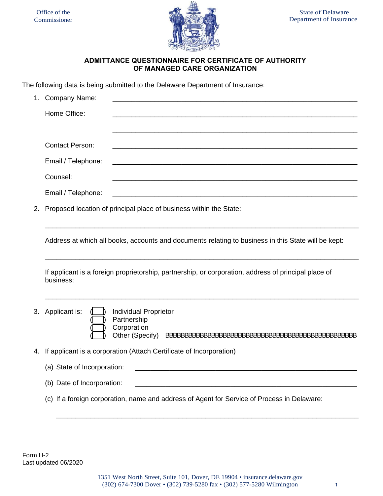

## **ADMITTANCE QUESTIONNAIRE FOR CERTIFICATE OF AUTHORITY OF MANAGED CARE ORGANIZATION**

The following data is being submitted to the Delaware Department of Insurance:

|    | 1. Company Name:                                                                                                                                    |  |  |  |
|----|-----------------------------------------------------------------------------------------------------------------------------------------------------|--|--|--|
|    | Home Office:                                                                                                                                        |  |  |  |
|    |                                                                                                                                                     |  |  |  |
|    |                                                                                                                                                     |  |  |  |
|    | <b>Contact Person:</b>                                                                                                                              |  |  |  |
|    | Email / Telephone:                                                                                                                                  |  |  |  |
|    | Counsel:                                                                                                                                            |  |  |  |
|    | Email / Telephone:<br><u> 2000 - Jan James James James James James James James James James James James James James James James James J</u>          |  |  |  |
| 2. | Proposed location of principal place of business within the State:                                                                                  |  |  |  |
|    |                                                                                                                                                     |  |  |  |
|    | Address at which all books, accounts and documents relating to business in this State will be kept:                                                 |  |  |  |
|    |                                                                                                                                                     |  |  |  |
|    | If applicant is a foreign proprietorship, partnership, or corporation, address of principal place of<br>business:                                   |  |  |  |
|    |                                                                                                                                                     |  |  |  |
|    | 3. Applicant is:<br><b>Individual Proprietor</b>                                                                                                    |  |  |  |
|    | Partnership<br>Corporation                                                                                                                          |  |  |  |
|    | Other (Specify)                                                                                                                                     |  |  |  |
| 4. | If applicant is a corporation (Attach Certificate of Incorporation)                                                                                 |  |  |  |
|    | (a) State of Incorporation:                                                                                                                         |  |  |  |
|    | (b) Date of Incorporation:<br><u> 1980 - Johann Barbara, martin da basar da basar da basar da basar da basar da basar da basar da basar da basa</u> |  |  |  |
|    | (c) If a foreign corporation, name and address of Agent for Service of Process in Delaware:                                                         |  |  |  |
|    |                                                                                                                                                     |  |  |  |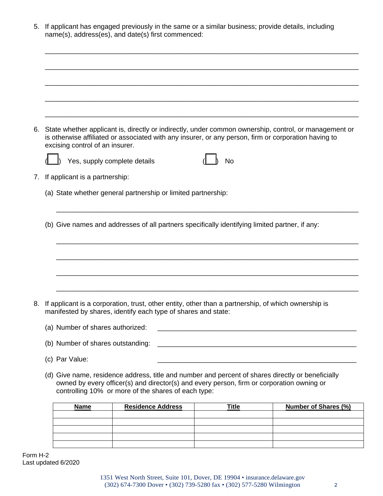| 5. If applicant has engaged previously in the same or a similar business; provide details, including |  |
|------------------------------------------------------------------------------------------------------|--|
| name(s), address(es), and date(s) first commenced:                                                   |  |

\_\_\_\_\_\_\_\_\_\_\_\_\_\_\_\_\_\_\_\_\_\_\_\_\_\_\_\_\_\_\_\_\_\_\_\_\_\_\_\_\_\_\_\_\_\_\_\_\_\_\_\_\_\_\_\_\_\_\_\_\_\_\_\_\_\_\_\_\_\_\_\_\_\_\_\_\_\_\_\_\_\_

| 6. | excising control of an insurer.                                                                                                                                      | is otherwise affiliated or associated with any insurer, or any person, firm or corporation having to                                                                                                                                                  |              |  | State whether applicant is, directly or indirectly, under common ownership, control, or management or |  |
|----|----------------------------------------------------------------------------------------------------------------------------------------------------------------------|-------------------------------------------------------------------------------------------------------------------------------------------------------------------------------------------------------------------------------------------------------|--------------|--|-------------------------------------------------------------------------------------------------------|--|
|    | Yes, supply complete details                                                                                                                                         |                                                                                                                                                                                                                                                       | <b>No</b>    |  |                                                                                                       |  |
| 7. | If applicant is a partnership:                                                                                                                                       |                                                                                                                                                                                                                                                       |              |  |                                                                                                       |  |
|    |                                                                                                                                                                      | (a) State whether general partnership or limited partnership:                                                                                                                                                                                         |              |  |                                                                                                       |  |
|    |                                                                                                                                                                      |                                                                                                                                                                                                                                                       |              |  |                                                                                                       |  |
|    |                                                                                                                                                                      | (b) Give names and addresses of all partners specifically identifying limited partner, if any:                                                                                                                                                        |              |  |                                                                                                       |  |
|    |                                                                                                                                                                      |                                                                                                                                                                                                                                                       |              |  |                                                                                                       |  |
|    |                                                                                                                                                                      |                                                                                                                                                                                                                                                       |              |  |                                                                                                       |  |
|    |                                                                                                                                                                      |                                                                                                                                                                                                                                                       |              |  |                                                                                                       |  |
|    |                                                                                                                                                                      |                                                                                                                                                                                                                                                       |              |  |                                                                                                       |  |
|    |                                                                                                                                                                      |                                                                                                                                                                                                                                                       |              |  |                                                                                                       |  |
| 8. | If applicant is a corporation, trust, other entity, other than a partnership, of which ownership is<br>manifested by shares, identify each type of shares and state: |                                                                                                                                                                                                                                                       |              |  |                                                                                                       |  |
|    | (a) Number of shares authorized:                                                                                                                                     |                                                                                                                                                                                                                                                       |              |  |                                                                                                       |  |
|    | (b) Number of shares outstanding:                                                                                                                                    |                                                                                                                                                                                                                                                       |              |  |                                                                                                       |  |
|    | (c) Par Value:                                                                                                                                                       |                                                                                                                                                                                                                                                       |              |  |                                                                                                       |  |
|    |                                                                                                                                                                      | (d) Give name, residence address, title and number and percent of shares directly or beneficially<br>owned by every officer(s) and director(s) and every person, firm or corporation owning or<br>controlling 10% or more of the shares of each type: |              |  |                                                                                                       |  |
|    | <b>Name</b>                                                                                                                                                          | <b>Residence Address</b>                                                                                                                                                                                                                              | <b>Title</b> |  | <b>Number of Shares (%)</b>                                                                           |  |
|    |                                                                                                                                                                      |                                                                                                                                                                                                                                                       |              |  |                                                                                                       |  |

Form H-2 Last updated 6/2020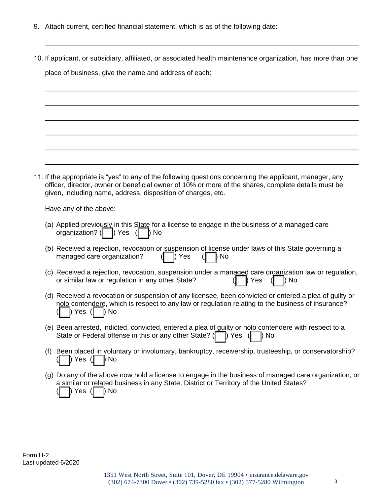- 9. Attach current, certified financial statement, which is as of the following date:
- 10. If applicant, or subsidiary, affiliated, or associated health maintenance organization, has more than one place of business, give the name and address of each:

\_\_\_\_\_\_\_\_\_\_\_\_\_\_\_\_\_\_\_\_\_\_\_\_\_\_\_\_\_\_\_\_\_\_\_\_\_\_\_\_\_\_\_\_\_\_\_\_\_\_\_\_\_\_\_\_\_\_\_\_\_\_\_\_\_\_\_\_\_\_\_\_\_\_\_\_\_\_\_\_\_\_

\_\_\_\_\_\_\_\_\_\_\_\_\_\_\_\_\_\_\_\_\_\_\_\_\_\_\_\_\_\_\_\_\_\_\_\_\_\_\_\_\_\_\_\_\_\_\_\_\_\_\_\_\_\_\_\_\_\_\_\_\_\_\_\_\_\_\_\_\_\_\_\_\_\_\_\_\_\_\_\_\_\_

\_\_\_\_\_\_\_\_\_\_\_\_\_\_\_\_\_\_\_\_\_\_\_\_\_\_\_\_\_\_\_\_\_\_\_\_\_\_\_\_\_\_\_\_\_\_\_\_\_\_\_\_\_\_\_\_\_\_\_\_\_\_\_\_\_\_\_\_\_\_\_\_\_\_\_\_\_\_\_\_\_\_

\_\_\_\_\_\_\_\_\_\_\_\_\_\_\_\_\_\_\_\_\_\_\_\_\_\_\_\_\_\_\_\_\_\_\_\_\_\_\_\_\_\_\_\_\_\_\_\_\_\_\_\_\_\_\_\_\_\_\_\_\_\_\_\_\_\_\_\_\_\_\_\_\_\_\_\_\_\_\_\_\_\_

\_\_\_\_\_\_\_\_\_\_\_\_\_\_\_\_\_\_\_\_\_\_\_\_\_\_\_\_\_\_\_\_\_\_\_\_\_\_\_\_\_\_\_\_\_\_\_\_\_\_\_\_\_\_\_\_\_\_\_\_\_\_\_\_\_\_\_\_\_\_\_\_\_\_\_\_\_\_\_\_\_\_

\_\_\_\_\_\_\_\_\_\_\_\_\_\_\_\_\_\_\_\_\_\_\_\_\_\_\_\_\_\_\_\_\_\_\_\_\_\_\_\_\_\_\_\_\_\_\_\_\_\_\_\_\_\_\_\_\_\_\_\_\_\_\_\_\_\_\_\_\_\_\_\_\_\_\_\_\_\_\_\_\_\_

\_\_\_\_\_\_\_\_\_\_\_\_\_\_\_\_\_\_\_\_\_\_\_\_\_\_\_\_\_\_\_\_\_\_\_\_\_\_\_\_\_\_\_\_\_\_\_\_\_\_\_\_\_\_\_\_\_\_\_\_\_\_\_\_\_\_\_\_\_\_\_\_\_\_\_\_\_\_\_\_\_\_ 11. If the appropriate is "yes" to any of the following questions concerning the applicant, manager, any officer, director, owner or beneficial owner of 10% or more of the shares, complete details must be given, including name, address, disposition of charges, etc.

Have any of the above:

- (a) Applied previously in this State for a license to engage in the business of a managed care organization? ( \_\_) Yes ( \_\_) No
- (b) Received a rejection, revocation or suspension of license under laws of this State governing a managed care organization?  $(| \rangle)$  Yes  $(| \rangle)$  No
- (c) Received a rejection, revocation, suspension under a managed care organization law or regulation, or similar law or regulation in any other State?  $(|\rangle)$  Yes  $(|\rangle)$  No
- (d) Received a revocation or suspension of any licensee, been convicted or entered a plea of guilty or nolo contendere, which is respect to any law or regulation relating to the business of insurance?  $(| \quad \}$  Yes  $(| \quad \}$  No
- (e) Been arrested, indicted, convicted, entered a plea of guilty or nolo contendere with respect to a State or Federal offense in this or any other State? ( $\Box$ ) Yes ( $\Box$ ) No
- (f) Been placed in voluntary or involuntary, bankruptcy, receivership, trusteeship, or conservatorship? (\_\_\_) Yes (\_\_\_) No
- (g) Do any of the above now hold a license to engage in the business of managed care organization, or a similar or related business in any State, District or Territory of the United States? Yes  $(| \_|)$  No